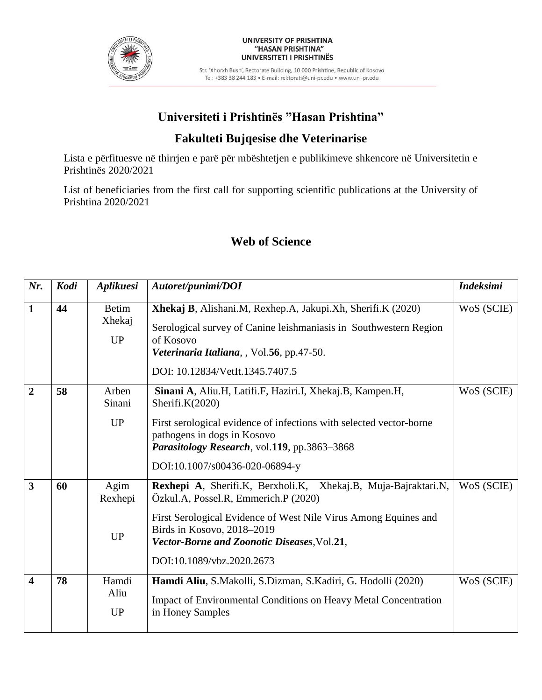

#### UNIVERSITY OF PRISHTINA "HASAN PRISHTINA" UNIVERSITETI I PRISHTINËS

Str. 'Xhorxh Bush', Rectorate Building, 10 000 Prishtinë, Republic of Kosovo Tel: +383 38 244 183 · E-mail: rektorati@uni-pr.edu · www.uni-pr.edu

# **Universiteti i Prishtinës "Hasan Prishtina"**

## **Fakulteti Bujqesise dhe Veterinarise**

Lista e përfituesve në thirrjen e parë për mbështetjen e publikimeve shkencore në Universitetin e Prishtinës 2020/2021

List of beneficiaries from the first call for supporting scientific publications at the University of Prishtina 2020/2021

| Nr.                     | Kodi | Aplikuesi                           | Autoret/punimi/DOI                                                                                                                                                                                                                                                                  | <b>Indeksimi</b> |
|-------------------------|------|-------------------------------------|-------------------------------------------------------------------------------------------------------------------------------------------------------------------------------------------------------------------------------------------------------------------------------------|------------------|
| $\mathbf{1}$            | 44   | <b>Betim</b><br>Xhekaj<br><b>UP</b> | Xhekaj B, Alishani.M, Rexhep.A, Jakupi.Xh, Sherifi.K (2020)<br>Serological survey of Canine leishmaniasis in Southwestern Region<br>of Kosovo<br>Veterinaria Italiana, , Vol.56, pp.47-50.<br>DOI: 10.12834/VetIt.1345.7407.5                                                       | WoS (SCIE)       |
| $\overline{2}$          | 58   | Arben<br>Sinani<br><b>UP</b>        | Sinani A, Aliu.H, Latifi.F, Haziri.I, Xhekaj.B, Kampen.H,<br>Sherifi.K $(2020)$<br>First serological evidence of infections with selected vector-borne<br>pathogens in dogs in Kosovo<br>Parasitology Research, vol.119, pp.3863-3868<br>DOI:10.1007/s00436-020-06894-y             | WoS (SCIE)       |
| $\overline{\mathbf{3}}$ | 60   | Agim<br>Rexhepi<br><b>UP</b>        | Rexhepi A, Sherifi.K, Berxholi.K, Xhekaj.B, Muja-Bajraktari.N,<br>Özkul.A, Possel.R, Emmerich.P (2020)<br>First Serological Evidence of West Nile Virus Among Equines and<br>Birds in Kosovo, 2018-2019<br>Vector-Borne and Zoonotic Diseases, Vol.21,<br>DOI:10.1089/vbz.2020.2673 | WoS (SCIE)       |
| $\overline{4}$          | 78   | Hamdi<br>Aliu<br><b>UP</b>          | Hamdi Aliu, S.Makolli, S.Dizman, S.Kadiri, G. Hodolli (2020)<br>Impact of Environmental Conditions on Heavy Metal Concentration<br>in Honey Samples                                                                                                                                 | WoS (SCIE)       |

### **Web of Science**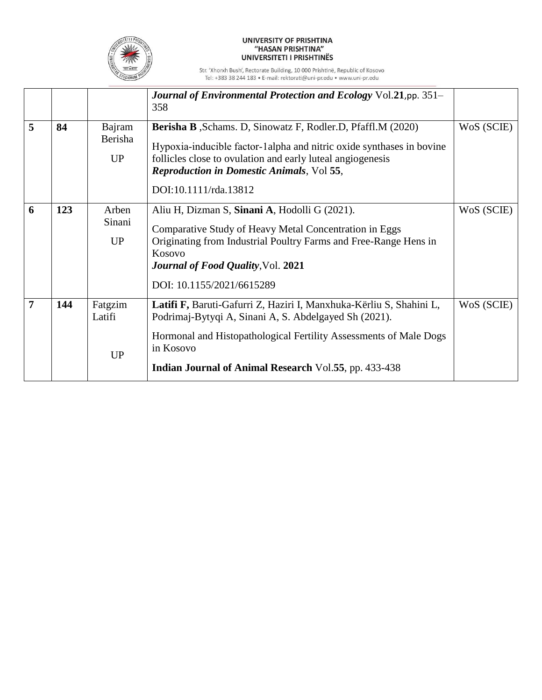

### UNIVERSITY OF PRISHTINA<br>"HASAN PRISHTINA" UNIVERSITETI I PRISHTINËS

Str. 'Xhorxh Bush', Rectorate Building, 10 000 Prishtinë, Republic of Kosovo<br>Tel: +383 38 244 183 • E-mail: rektorati@uni-pr.edu • www.uni-pr.edu

|                |     |                                | Journal of Environmental Protection and Ecology Vol.21, pp. 351-<br>358                                                                                                                                                                                                                 |            |
|----------------|-----|--------------------------------|-----------------------------------------------------------------------------------------------------------------------------------------------------------------------------------------------------------------------------------------------------------------------------------------|------------|
| 5              | 84  | Bajram<br>Berisha<br><b>UP</b> | <b>Berisha B</b> , Schams. D, Sinowatz F, Rodler.D, Pfaffl.M (2020)<br>Hypoxia-inducible factor-1 alpha and nitric oxide synthases in bovine<br>follicles close to ovulation and early luteal angiogenesis<br><b>Reproduction in Domestic Animals, Vol 55,</b><br>DOI:10.1111/rda.13812 | WoS (SCIE) |
| 6              | 123 | Arben<br>Sinani<br>UP          | Aliu H, Dizman S, Sinani A, Hodolli G (2021).<br>Comparative Study of Heavy Metal Concentration in Eggs<br>Originating from Industrial Poultry Farms and Free-Range Hens in<br>Kosovo<br><b>Journal of Food Quality, Vol. 2021</b><br>DOI: 10.1155/2021/6615289                         | WoS (SCIE) |
| $\overline{7}$ | 144 | Fatgzim<br>Latifi<br><b>UP</b> | Latifi F, Baruti-Gafurri Z, Haziri I, Manxhuka-Kërliu S, Shahini L,<br>Podrimaj-Bytyqi A, Sinani A, S. Abdelgayed Sh (2021).<br>Hormonal and Histopathological Fertility Assessments of Male Dogs<br>in Kosovo<br><b>Indian Journal of Animal Research Vol.55, pp. 433-438</b>          | WoS (SCIE) |